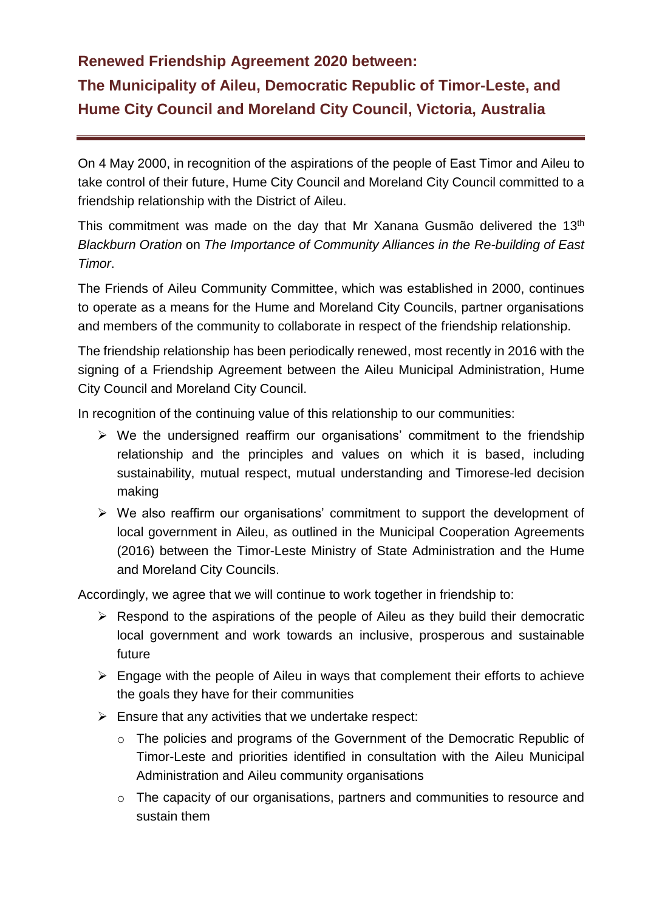## **Renewed Friendship Agreement 2020 between:**

## **The Municipality of Aileu, Democratic Republic of Timor-Leste, and Hume City Council and Moreland City Council, Victoria, Australia**

On 4 May 2000, in recognition of the aspirations of the people of East Timor and Aileu to take control of their future, Hume City Council and Moreland City Council committed to a friendship relationship with the District of Aileu.

This commitment was made on the day that Mr Xanana Gusmão delivered the 13th *Blackburn Oration* on *The Importance of Community Alliances in the Re-building of East Timor*.

The Friends of Aileu Community Committee, which was established in 2000, continues to operate as a means for the Hume and Moreland City Councils, partner organisations and members of the community to collaborate in respect of the friendship relationship.

The friendship relationship has been periodically renewed, most recently in 2016 with the signing of a Friendship Agreement between the Aileu Municipal Administration, Hume City Council and Moreland City Council.

In recognition of the continuing value of this relationship to our communities:

- $\triangleright$  We the undersigned reaffirm our organisations' commitment to the friendship relationship and the principles and values on which it is based, including sustainability, mutual respect, mutual understanding and Timorese-led decision making
- ➢ We also reaffirm our organisations' commitment to support the development of local government in Aileu, as outlined in the Municipal Cooperation Agreements (2016) between the Timor-Leste Ministry of State Administration and the Hume and Moreland City Councils.

Accordingly, we agree that we will continue to work together in friendship to:

- ➢ Respond to the aspirations of the people of Aileu as they build their democratic local government and work towards an inclusive, prosperous and sustainable future
- ➢ Engage with the people of Aileu in ways that complement their efforts to achieve the goals they have for their communities
- $\triangleright$  Ensure that any activities that we undertake respect:
	- o The policies and programs of the Government of the Democratic Republic of Timor-Leste and priorities identified in consultation with the Aileu Municipal Administration and Aileu community organisations
	- o The capacity of our organisations, partners and communities to resource and sustain them